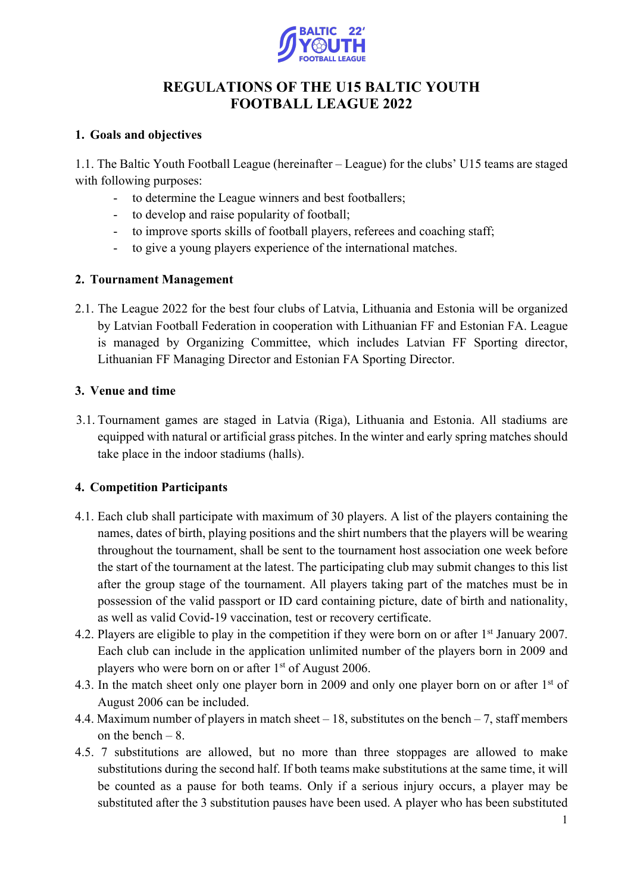

# **REGULATIONS OF THE U15 BALTIC YOUTH FOOTBALL LEAGUE 2022**

# **1. Goals and objectives**

1.1. The Baltic Youth Football League (hereinafter – League) for the clubs' U15 teams are staged with following purposes:

- to determine the League winners and best footballers;
- to develop and raise popularity of football;
- to improve sports skills of football players, referees and coaching staff;
- to give a young players experience of the international matches.

# **2. Tournament Management**

2.1. The League 2022 for the best four clubs of Latvia, Lithuania and Estonia will be organized by Latvian Football Federation in cooperation with Lithuanian FF and Estonian FA. League is managed by Organizing Committee, which includes Latvian FF Sporting director, Lithuanian FF Managing Director and Estonian FA Sporting Director.

# **3. Venue and time**

3.1. Tournament games are staged in Latvia (Riga), Lithuania and Estonia. All stadiums are equipped with natural or artificial grass pitches. In the winter and early spring matches should take place in the indoor stadiums (halls).

# **4. Competition Participants**

- 4.1. Each club shall participate with maximum of 30 players. A list of the players containing the names, dates of birth, playing positions and the shirt numbers that the players will be wearing throughout the tournament, shall be sent to the tournament host association one week before the start of the tournament at the latest. The participating club may submit changes to this list after the group stage of the tournament. All players taking part of the matches must be in possession of the valid passport or ID card containing picture, date of birth and nationality, as well as valid Covid-19 vaccination, test or recovery certificate.
- 4.2. Players are eligible to play in the competition if they were born on or after 1<sup>st</sup> January 2007. Each club can include in the application unlimited number of the players born in 2009 and players who were born on or after 1<sup>st</sup> of August 2006.
- 4.3. In the match sheet only one player born in 2009 and only one player born on or after 1<sup>st</sup> of August 2006 can be included.
- 4.4. Maximum number of players in match sheet 18, substitutes on the bench 7, staff members on the bench  $-8$ .
- 4.5. 7 substitutions are allowed, but no more than three stoppages are allowed to make substitutions during the second half. If both teams make substitutions at the same time, it will be counted as a pause for both teams. Only if a serious injury occurs, a player may be substituted after the 3 substitution pauses have been used. A player who has been substituted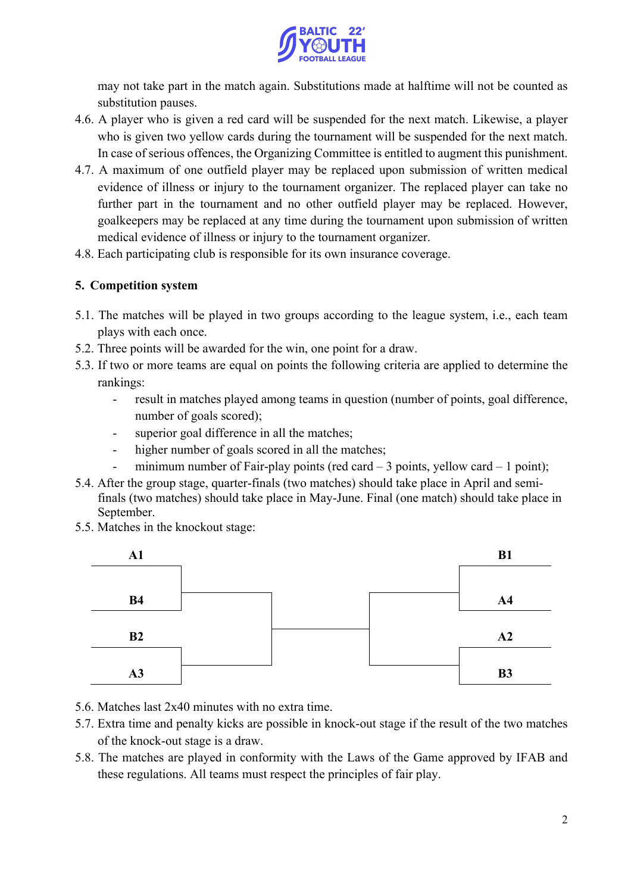

may not take part in the match again. Substitutions made at halftime will not be counted as substitution pauses.

- 4.6. A player who is given a red card will be suspended for the next match. Likewise, a player who is given two yellow cards during the tournament will be suspended for the next match. In case of serious offences, the Organizing Committee is entitled to augment this punishment.
- 4.7. A maximum of one outfield player may be replaced upon submission of written medical evidence of illness or injury to the tournament organizer. The replaced player can take no further part in the tournament and no other outfield player may be replaced. However, goalkeepers may be replaced at any time during the tournament upon submission of written medical evidence of illness or injury to the tournament organizer.
- 4.8. Each participating club is responsible for its own insurance coverage.

# **5. Competition system**

- 5.1. The matches will be played in two groups according to the league system, i.e., each team plays with each once.
- 5.2. Three points will be awarded for the win, one point for a draw.
- 5.3. If two or more teams are equal on points the following criteria are applied to determine the rankings:
	- result in matches played among teams in question (number of points, goal difference, number of goals scored);
	- superior goal difference in all the matches;
	- higher number of goals scored in all the matches;
	- minimum number of Fair-play points (red card  $-3$  points, yellow card  $-1$  point);
- 5.4. After the group stage, quarter-finals (two matches) should take place in April and semifinals (two matches) should take place in May-June. Final (one match) should take place in September.
- 5.5. Matches in the knockout stage:



- 5.6. Matches last 2x40 minutes with no extra time.
- 5.7. Extra time and penalty kicks are possible in knock-out stage if the result of the two matches of the knock-out stage is a draw.
- 5.8. The matches are played in conformity with the Laws of the Game approved by IFAB and these regulations. All teams must respect the principles of fair play.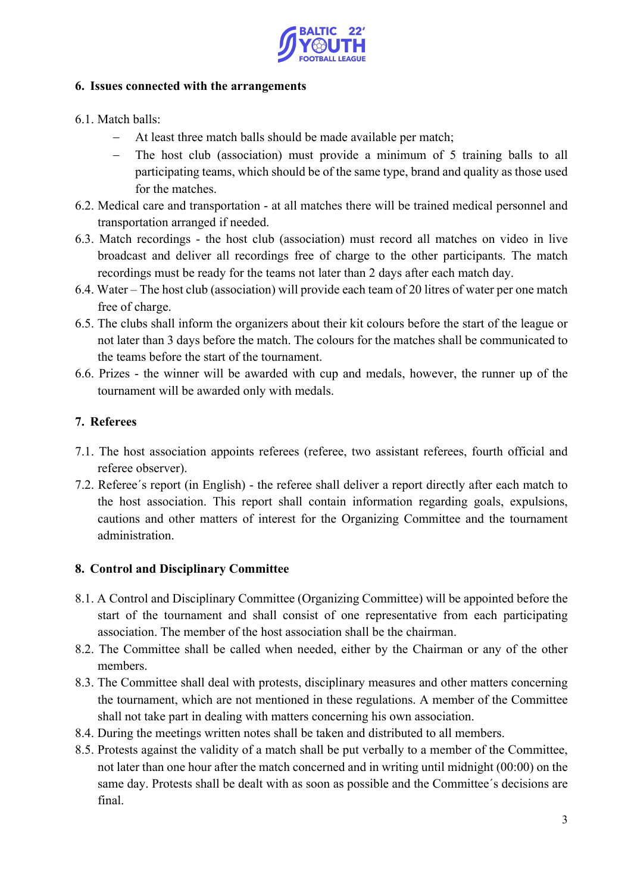

#### **6. Issues connected with the arrangements**

- 6.1. Match balls:
	- At least three match balls should be made available per match;
	- The host club (association) must provide a minimum of 5 training balls to all participating teams, which should be of the same type, brand and quality as those used for the matches.
- 6.2. Medical care and transportation at all matches there will be trained medical personnel and transportation arranged if needed.
- 6.3. Match recordings the host club (association) must record all matches on video in live broadcast and deliver all recordings free of charge to the other participants. The match recordings must be ready for the teams not later than 2 days after each match day.
- 6.4. Water The host club (association) will provide each team of 20 litres of water per one match free of charge.
- 6.5. The clubs shall inform the organizers about their kit colours before the start of the league or not later than 3 days before the match. The colours for the matches shall be communicated to the teams before the start of the tournament.
- 6.6. Prizes the winner will be awarded with cup and medals, however, the runner up of the tournament will be awarded only with medals.

# **7. Referees**

- 7.1. The host association appoints referees (referee, two assistant referees, fourth official and referee observer).
- 7.2. Referee´s report (in English) the referee shall deliver a report directly after each match to the host association. This report shall contain information regarding goals, expulsions, cautions and other matters of interest for the Organizing Committee and the tournament administration.

# **8. Control and Disciplinary Committee**

- 8.1. A Control and Disciplinary Committee (Organizing Committee) will be appointed before the start of the tournament and shall consist of one representative from each participating association. The member of the host association shall be the chairman.
- 8.2. The Committee shall be called when needed, either by the Chairman or any of the other members.
- 8.3. The Committee shall deal with protests, disciplinary measures and other matters concerning the tournament, which are not mentioned in these regulations. A member of the Committee shall not take part in dealing with matters concerning his own association.
- 8.4. During the meetings written notes shall be taken and distributed to all members.
- 8.5. Protests against the validity of a match shall be put verbally to a member of the Committee, not later than one hour after the match concerned and in writing until midnight (00:00) on the same day. Protests shall be dealt with as soon as possible and the Committee´s decisions are final.